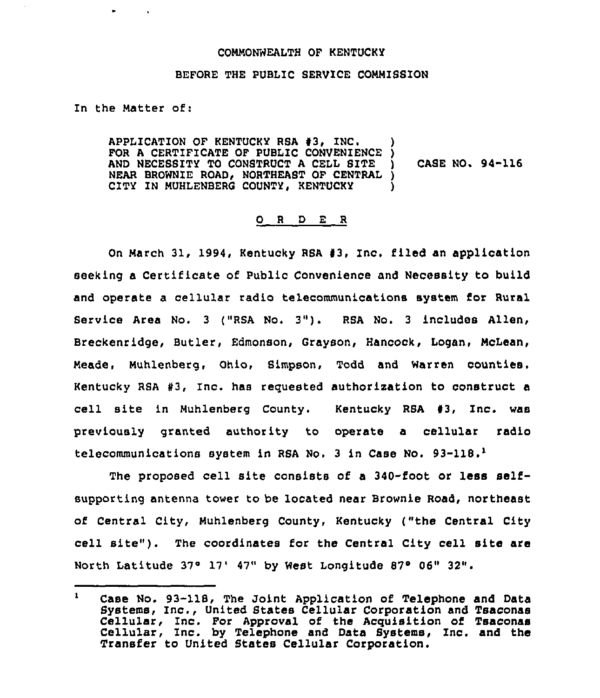## COMMONWEALTH OF KENTUCKY

## BEFORE THE PUBLIC SERVICE COMMISSION

In the Matter of:

APPLICATION OF KENTUCKY RSA  $#3$ , INC. FOR A CERTIFICATE OF PUBLIC CONVENIENCE )<br>AND NECESSITY TO CONSTRUCT A CELL SITE ) AND NECESSITY TO CONSTRUCT A CELL SITE NEAR BROWNIE ROAD, NORTHEAST OF CENTRAL ) CITY IN NUHLENBERG COUNTY, KENTUCKY ) CASE NO. 94-116

## 0 <sup>R</sup> <sup>D</sup> E <sup>R</sup>

On March 31, 1994, Kentucky RSA #3, Inc. filed an application seeking a Certificate of Public Convenience and Necessity to build and operate a cellular radio telecommunications system for Rural Bar vice Area No. <sup>3</sup> ("RSA No, 3"). RSA No. <sup>3</sup> includes Allen, Breckenridge, Butler, Edmonson, Grayson, Hancock, Logan, McLean, Meade, Muhlenberg, Ohio, S(mpson, Todd and Warren counties. Kentucky RSA #3, Inc. has requested authorization to construct a cell site in Muhlenberg County. Kentucky RSA 43, Inc. was previously granted authority to operate a cellular radio telecommunications system in RSA No. <sup>3</sup> in Case No. 93-118."

The proposed cell site consists of a 340-foot or less selfsupporting antenna tower to be located near Brownie Road, northeast of Central City, Muhlenberg County, Kentucky ("the Central City cell site"). The coordinates for the Central City cell site are North Latitude  $37°17'$   $47"$  by West Longitude  $87°06"32"$ .

 $\mathbf{I}$ Case No. 93-118, The Joint Application of Telephone and Data Systems, Inc., United States Cellular Corporation and Tsaconas Cellular, Inc. For Approval of the Acquisition of Tsaconas Cellular, Inc. by Telephone and Data Bystems, Inc. and the Transfer to United States Cellular Corporation.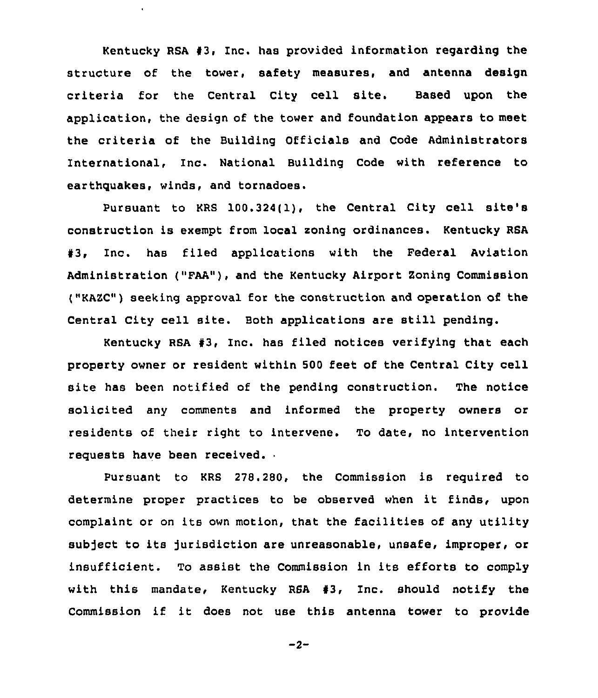Kentucky RSA  $#3$ , Inc. has provided information regarding the structure of the tower, safety measures, and antenna design criteria for the Central City cell site. Based upon the application, the design of the tower and foundation appears to meet the criteria of the Building Officials and Code Administrators International, Inc. National Building Code with reference to earthquakes, winds, and tornadoes.

Pursuant to KRS 100.324(1), the Central City cell site's construction is exempt from local soning ordinances. Kentucky RSA 13, Inc. has filed applications with the Federal Aviation Administration ("FAA"), and the Kentucky Airport Zoning Commission ("KAZC") seeking approval for the construction and operation of the Central City cell site. Both applications are still pending.

Kentucky RSA 43, Inc. has filed notices verifying that each property owner or resident within 500 feet of the Central City cell site has been notified of the pending construction. The notice solicited any comments and informed the property owners or residents of their right to intervene. To date, no intervention requests have been received.

Pursuant to KRS 278.280, the Commission is required to determine proper practices to be observed when it finds, upon complaint or on its own motion, that the facilities of any utility subject to its jurisdiction are unreasonable, unsafe, improper, or insufficient. To assist the Commission in its efforts to comply with this mandate, Kentucky RSA 43, Inc. should notify the Commission if it does not use this antenna tower to provide

 $-2-$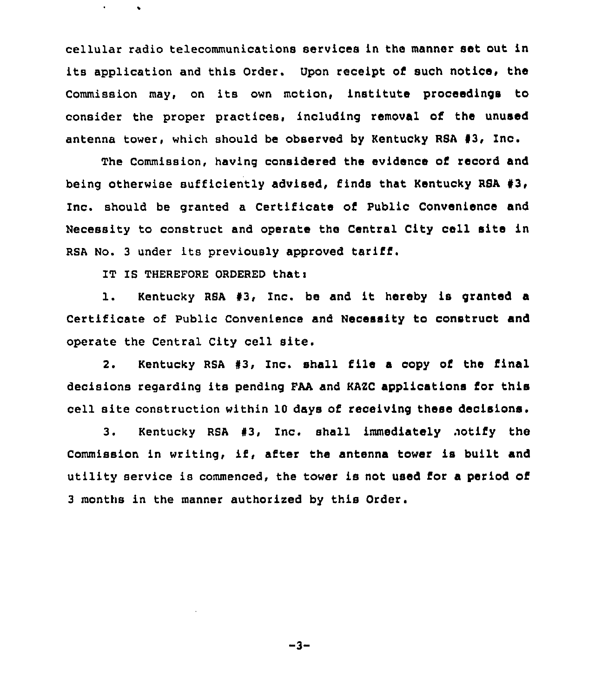cellular radio telecommunications services in the manner set out in its application and this Order. Upon receipt of such notice, the Commission may, on its own motion, institute proceedings to consider the proper practices, including removal of the unused antenna tower, which should be observed by Kentucky RSA  $#3$ , Inc.

The Commission, having considered the evidence of record and being otherwise sufficiently advised, finds that Kentucky RSA 43, Inc. should be granted a Certificate of Public Convenience and Necessity to construct and operate the Central City cell site in RSA No. 3 under its previously approved tariff.

IT IS THEREFORE ORDERED thati

1. Kentucky RSA 43, Inc. be and it hereby is granted <sup>a</sup> Certificate of Public Convenience and Necessity to conetruot and operate the Central City cell site.

2. Kentucky RSA #3, Inc. shall file a copy of the final decisions regarding its pending FAA and KAZC applications for this cell site construction within 10 days cf receiving these decisions.

3. Kentucky RSA #3, Inc. shall immediately notify the Commission in writing, if, after the antenna tower is built and utility service is commenced, the tower is not used for a period of 3 months in the manner authorized by this Order.

 $-3-$